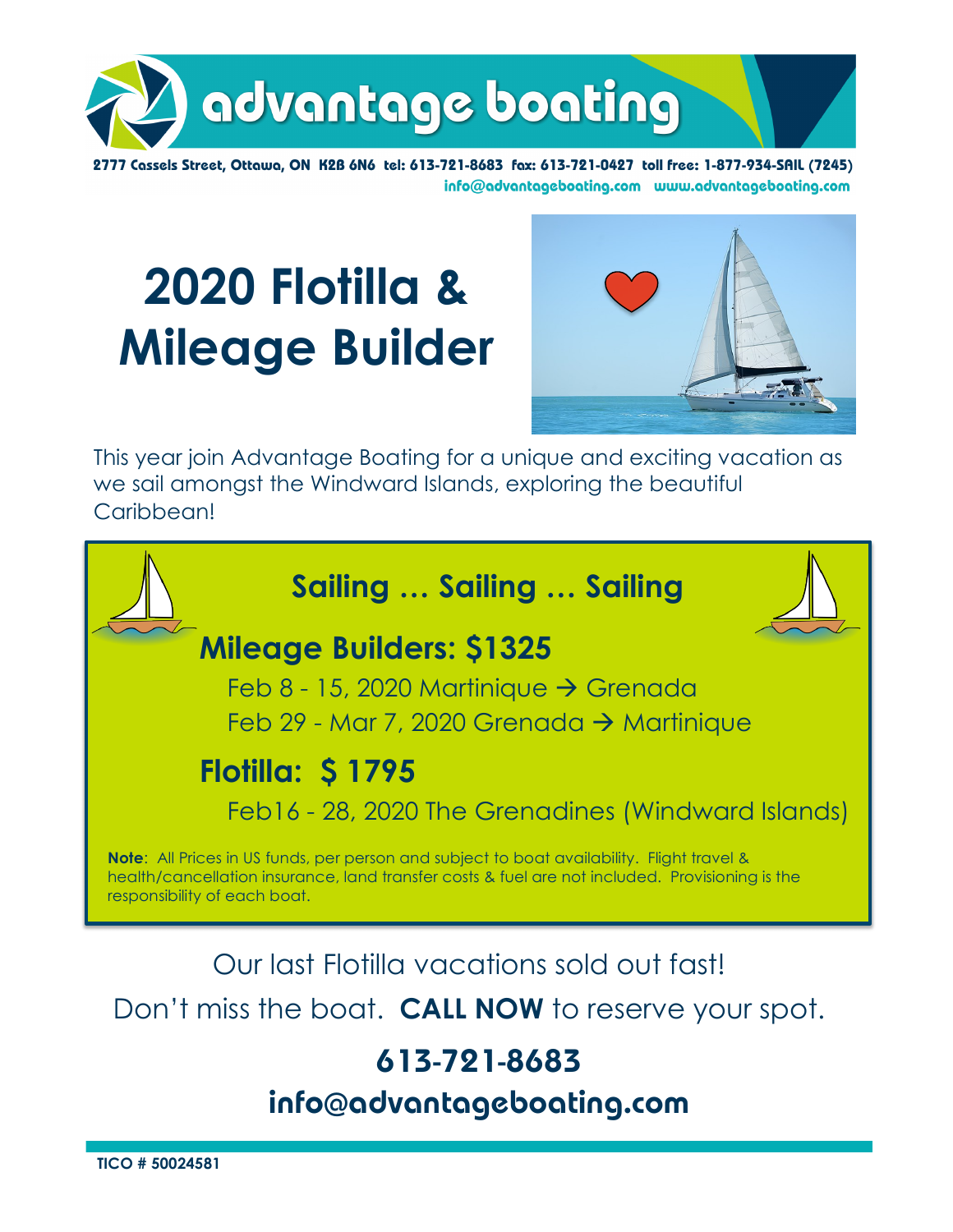

2777 Cassels Street, Ottawa, ON K2B 6N6 tel: 613-721-8683 fax: 613-721-0427 toll free: 1-877-934-SAIL (7245) info@advantageboating.com www.advantageboating.com

# **2020 Flotilla & Mileage Builder**



This year join Advantage Boating for a unique and exciting vacation as we sail amongst the Windward Islands, exploring the beautiful Caribbean!



Don't miss the boat. **CALL NOW** to reserve your spot.

### **613-721-8683**

**info@advantageboating.com**